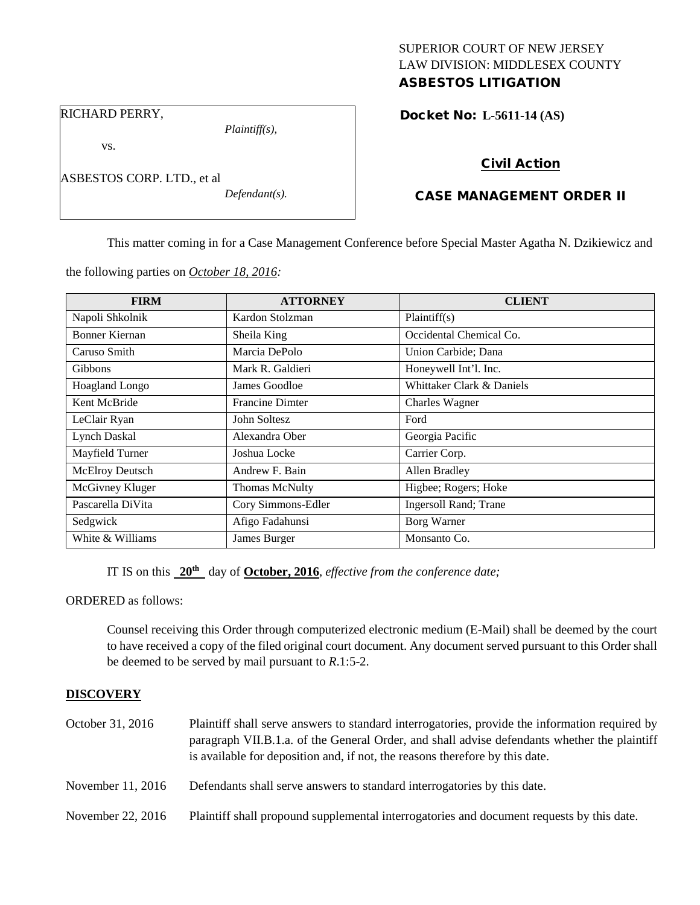## SUPERIOR COURT OF NEW JERSEY LAW DIVISION: MIDDLESEX COUNTY ASBESTOS LITIGATION

RICHARD PERRY,

vs.

ASBESTOS CORP. LTD., et al

*Plaintiff(s),*

*Defendant(s).*

Docket No: **L-5611-14 (AS)** 

# Civil Action

## CASE MANAGEMENT ORDER II

This matter coming in for a Case Management Conference before Special Master Agatha N. Dzikiewicz and

the following parties on *October 18, 2016:*

| <b>FIRM</b>           | <b>ATTORNEY</b>        | <b>CLIENT</b>                 |
|-----------------------|------------------------|-------------------------------|
| Napoli Shkolnik       | Kardon Stolzman        | Plaintiff(s)                  |
| Bonner Kiernan        | Sheila King            | Occidental Chemical Co.       |
| Caruso Smith          | Marcia DePolo          | Union Carbide; Dana           |
| Gibbons               | Mark R. Galdieri       | Honeywell Int'l. Inc.         |
| <b>Hoagland Longo</b> | James Goodloe          | Whittaker Clark & Daniels     |
| Kent McBride          | <b>Francine Dimter</b> | Charles Wagner                |
| LeClair Ryan          | John Soltesz           | Ford                          |
| Lynch Daskal          | Alexandra Ober         | Georgia Pacific               |
| Mayfield Turner       | Joshua Locke           | Carrier Corp.                 |
| McElroy Deutsch       | Andrew F. Bain         | Allen Bradley                 |
| McGivney Kluger       | Thomas McNulty         | Higbee; Rogers; Hoke          |
| Pascarella DiVita     | Cory Simmons-Edler     | <b>Ingersoll Rand</b> ; Trane |
| Sedgwick              | Afigo Fadahunsi        | Borg Warner                   |
| White & Williams      | James Burger           | Monsanto Co.                  |

IT IS on this **20th** day of **October, 2016**, *effective from the conference date;*

ORDERED as follows:

Counsel receiving this Order through computerized electronic medium (E-Mail) shall be deemed by the court to have received a copy of the filed original court document. Any document served pursuant to this Order shall be deemed to be served by mail pursuant to *R*.1:5-2.

## **DISCOVERY**

| October 31, 2016  | Plaintiff shall serve answers to standard interrogatories, provide the information required by<br>paragraph VII.B.1.a. of the General Order, and shall advise defendants whether the plaintiff<br>is available for deposition and, if not, the reasons therefore by this date. |
|-------------------|--------------------------------------------------------------------------------------------------------------------------------------------------------------------------------------------------------------------------------------------------------------------------------|
| November 11, 2016 | Defendants shall serve answers to standard interrogatories by this date.                                                                                                                                                                                                       |
| November 22, 2016 | Plaintiff shall propound supplemental interrogatories and document requests by this date.                                                                                                                                                                                      |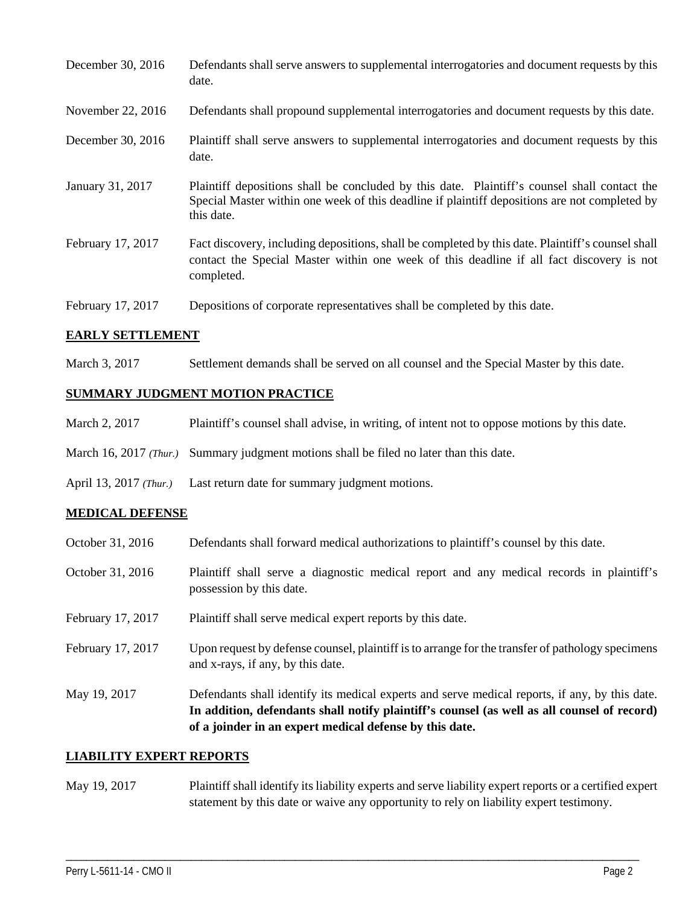| December 30, 2016 | Defendants shall serve answers to supplemental interrogatories and document requests by this<br>date.                                                                                                       |
|-------------------|-------------------------------------------------------------------------------------------------------------------------------------------------------------------------------------------------------------|
| November 22, 2016 | Defendants shall propound supplemental interrogatories and document requests by this date.                                                                                                                  |
| December 30, 2016 | Plaintiff shall serve answers to supplemental interrogatories and document requests by this<br>date.                                                                                                        |
| January 31, 2017  | Plaintiff depositions shall be concluded by this date. Plaintiff's counsel shall contact the<br>Special Master within one week of this deadline if plaintiff depositions are not completed by<br>this date. |
| February 17, 2017 | Fact discovery, including depositions, shall be completed by this date. Plaintiff's counsel shall<br>contact the Special Master within one week of this deadline if all fact discovery is not<br>completed. |
| February 17, 2017 | Depositions of corporate representatives shall be completed by this date.                                                                                                                                   |

## **EARLY SETTLEMENT**

March 3, 2017 Settlement demands shall be served on all counsel and the Special Master by this date.

## **SUMMARY JUDGMENT MOTION PRACTICE**

- March 2, 2017 Plaintiff's counsel shall advise, in writing, of intent not to oppose motions by this date.
- March 16, 2017 *(Thur.)* Summary judgment motions shall be filed no later than this date.
- April 13, 2017 *(Thur.)* Last return date for summary judgment motions.

#### **MEDICAL DEFENSE**

- October 31, 2016 Defendants shall forward medical authorizations to plaintiff's counsel by this date.
- October 31, 2016 Plaintiff shall serve a diagnostic medical report and any medical records in plaintiff's possession by this date.
- February 17, 2017 Plaintiff shall serve medical expert reports by this date.
- February 17, 2017 Upon request by defense counsel, plaintiff is to arrange for the transfer of pathology specimens and x-rays, if any, by this date.
- May 19, 2017 Defendants shall identify its medical experts and serve medical reports, if any, by this date. **In addition, defendants shall notify plaintiff's counsel (as well as all counsel of record) of a joinder in an expert medical defense by this date.**

#### **LIABILITY EXPERT REPORTS**

May 19, 2017 Plaintiff shall identify its liability experts and serve liability expert reports or a certified expert statement by this date or waive any opportunity to rely on liability expert testimony.

\_\_\_\_\_\_\_\_\_\_\_\_\_\_\_\_\_\_\_\_\_\_\_\_\_\_\_\_\_\_\_\_\_\_\_\_\_\_\_\_\_\_\_\_\_\_\_\_\_\_\_\_\_\_\_\_\_\_\_\_\_\_\_\_\_\_\_\_\_\_\_\_\_\_\_\_\_\_\_\_\_\_\_\_\_\_\_\_\_\_\_\_\_\_\_\_\_\_\_\_\_\_\_\_\_\_\_\_\_\_